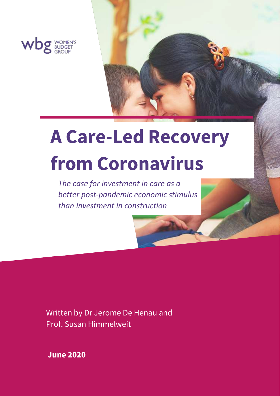

# **A Care-Led Recovery from Coronavirus**

*The case for investment in care as a better post-pandemic economic stimulus than investment in construction*

Written by Dr Jerome De Henau and Prof. Susan Himmelweit

**June 2020**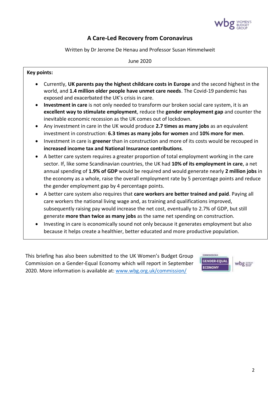

# **A Care-Led Recovery from Coronavirus**

Written by Dr Jerome De Henau and Professor Susan Himmelweit

June 2020

#### **Key points:**

- Currently, **UK parents pay the highest childcare costs in Europe** and the second highest in the world, and **1.4 million older people have unmet care needs**. The Covid-19 pandemic has exposed and exacerbated the UK's crisis in care.
- **Investment in care** is not only needed to transform our broken social care system, it is an **excellent way to stimulate employment**, reduce the **gender employment gap** and counter the inevitable economic recession as the UK comes out of lockdown.
- Any investment in care in the UK would produce **2.7 times as many jobs** as an equivalent investment in construction: **6.3 times as many jobs for women** and **10% more for men**.
- Investment in care is **greener** than in construction and more of its costs would be recouped in **increased income tax and National Insurance contributions**.
- A better care system requires a greater proportion of total employment working in the care sector. If, like some Scandinavian countries, the UK had **10% of its employment in care**, a net annual spending of **1.9% of GDP** would be required and would generate nearly **2 million jobs** in the economy as a whole, raise the overall employment rate by 5 percentage points and reduce the gender employment gap by 4 percentage points.
- A better care system also requires that **care workers are better trained and paid**. Paying all care workers the national living wage and, as training and qualifications improved, subsequently raising pay would increase the net cost, eventually to 2.7% of GDP, but still generate **more than twice as many jobs** as the same net spending on construction.
- Investing in care is economically sound not only because it generates employment but also because it helps create a healthier, better educated and more productive population.

This briefing has also been submitted to the UK Women's Budget Group Commission on a Gender-Equal Economy which will report in September 2020. More information is available at: [www.wbg.org.uk/commission/](http://www.wbg.org.uk/commission/)

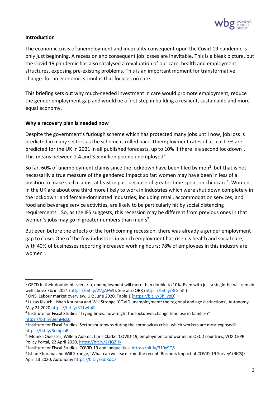

# **Introduction**

The economic crisis of unemployment and inequality consequent upon the Covid-19 pandemic is only just beginning. A recession and consequent job losses are inevitable. This is a bleak picture, but the Covid-19 pandemic has also catalysed a revaluation of our care, health and employment structures, exposing pre-existing problems. This is an important moment for transformative change: for an economic stimulus that focuses on care.

This briefing sets out why much-needed investment in care would promote employment, reduce the gender employment gap and would be a first step in building a resilient, sustainable and more equal economy.

#### **Why a recovery plan is needed now**

Despite the government's furlough scheme which has protected many jobs until now, job loss is predicted in many sectors as the scheme is rolled back. Unemployment rates of at least 7% are predicted for the UK in 2021 in all published forecasts, up to 10% if there is a second lockdown<sup>1</sup>. This means between 2.4 and 3.5 million people unemployed<sup>2</sup>.

So far, 60% of unemployment claims since the lockdown have been filed by men<sup>3</sup>, but that is not necessarily a true measure of the gendered impact so far: women may have been in less of a position to make such claims, at least in part because of greater time spent on childcare<sup>4</sup>. Women in the UK are about one third more likely to work in industries which were shut down completely in the lockdown<sup>5</sup> and female-dominated industries, including retail, accommodation services, and food and beverage service activities, are likely to be particularly hit by social distancing requirements<sup>6</sup>. So, as the IFS suggests, this recession may be different from previous ones in that women's jobs may go in greater numbers than men's<sup>7</sup>.

But even before the effects of the forthcoming recession, there was already a gender employment gap to close. One of the few industries in which employment has risen is health and social care, with 40% of businesses reporting increased working hours; 78% of employees in this industry are women<sup>8</sup>.

<sup>&</sup>lt;sup>1</sup> OECD In their double-hit scenario, unemployment will more than double to 10%. Even with just a single-hit will remain well above 7% in 2021 [\(https://bit.ly/2VgAFWf\)](https://bit.ly/2VgAFWf). See also OBR [\(https://bit.ly/3fGlhKl\)](https://bit.ly/3fGlhKl)

<sup>&</sup>lt;sup>2</sup> ONS, Labour market overview, UK: June 2020, Table 1 (https://bit.ly/3hlivpD)

<sup>&</sup>lt;sup>3</sup> Lukas Kikuchi, Ishan Khurana and Will Stronge 'COVID unemployment: the regional and age distinctions', Autonomy, May 21 2020 <https://bit.ly/311wfpG>

<sup>&</sup>lt;sup>4</sup> Institute for Fiscal Studies 'Trying times: how might the lockdown change time use in families?' <https://bit.ly/3emMcL0>

<sup>5</sup> Institute for Fiscal Studies 'Sector shutdowns during the coronavirus crisis: which workers are most exposed? <https://bit.ly/3empjaB>

<sup>6</sup> Monika Queisser, Willem Adema, Chris Clarke 'COVID-19, employment and women in OECD countries, VOX CEPR Policy Portal, 22 April 2020, <https://bit.ly/2YjQZHk>

<sup>&</sup>lt;sup>7</sup> Institute for Fiscal Studies 'COVID-19 and inequalities' <https://bit.ly/319x9QS>

<sup>&</sup>lt;sup>8</sup> Ishan Khurana and Will Stronge, 'What can we learn from the recent 'Business Impact of COVID-19 Survey' (BICS)? April 13 2020, Autonomy<https://bit.ly/3dlRdC7>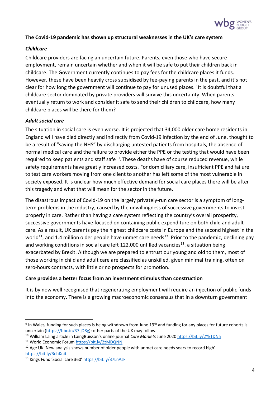

# **The Covid-19 pandemic has shown up structural weaknesses in the UK's care system**

#### *Childcare*

Childcare providers are facing an uncertain future. Parents, even those who have secure employment, remain uncertain whether and when it will be safe to put their children back in childcare. The Government currently continues to pay fees for the childcare places it funds. However, these have been heavily cross subsidised by fee-paying parents in the past, and it's not clear for how long the government will continue to pay for unused places.<sup>9</sup> It is doubtful that a childcare sector dominated by private providers will survive this uncertainty. When parents eventually return to work and consider it safe to send their children to childcare, how many childcare places will be there for them?

#### *Adult social care*

The situation in social care is even worse. It is projected that 34,000 older care home residents in England will have died directly and indirectly from Covid-19 infection by the end of June, thought to be a result of "saving the NHS" by discharging untested patients from hospitals, the absence of normal medical care and the failure to provide either the PPE or the testing that would have been required to keep patients and staff safe<sup>10</sup>. These deaths have of course reduced revenue, while safety requirements have greatly increased costs. For domiciliary care, insufficient PPE and failure to test care workers moving from one client to another has left some of the most vulnerable in society exposed. It is unclear how much effective demand for social care places there will be after this tragedy and what that will mean for the sector in the future.

The disastrous impact of Covid-19 on the largely privately-run care sector is a symptom of longterm problems in the industry, caused by the unwillingness of successive governments to invest properly in care. Rather than having a care system reflecting the country's overall prosperity, successive governments have focused on containing public expenditure on both child and adult care. As a result, UK parents pay the highest childcare costs in Europe and the second highest in the world<sup>11</sup>, and 1.4 million older people have unmet care needs<sup>12</sup>. Prior to the pandemic, declining pay and working conditions in social care left 122,000 unfilled vacancies<sup>13</sup>, a situation being exacerbated by Brexit. Although we are prepared to entrust our young and old to them, most of those working in child and adult care are classified as unskilled, given minimal training, often on zero-hours contracts, with little or no prospects for promotion.

#### **Care provides a better focus from an investment stimulus than construction**

It is by now well recognised that regenerating employment will require an injection of public funds into the economy. There is a growing macroeconomic consensus that in a downturn government

<sup>&</sup>lt;sup>9</sup> In Wales, funding for such places is being withdrawn from June 19<sup>th</sup> and funding for any places for future cohorts is uncertain [\(https://bbc.in/37IjD8g\)](https://bbc.in/37IjD8g): other parts of the UK may follow.

<sup>10</sup> William Laing article in LaingBuisson's online journal *Care Markets* June 202[0 https://bit.ly/2YkTDNa](https://bit.ly/2YkTDNa)

<sup>11</sup> World Economic Forum<https://bit.ly/2zMDQNN>

<sup>&</sup>lt;sup>12</sup> Age UK 'New analysis shows number of older people with unmet care needs soars to record high' <https://bit.ly/3ehKnit>

<sup>13</sup> Kings Fund 'Social care 360' <https://bit.ly/37LnAsF>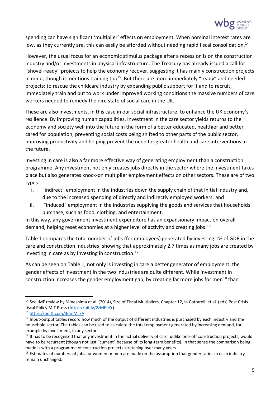

spending can have significant 'multiplier' effects on employment. When nominal interest rates are low, as they currently are, this can easily be afforded without needing rapid fiscal consolidation.<sup>14</sup>

However, the usual focus for an economic stimulus package after a recession is on the construction industry and/or investments in physical infrastructure. The Treasury has already issued a call for "shovel-ready" projects to help the economy recover, suggesting it has mainly construction projects in mind, though it mentions training too<sup>15</sup>. But there are more immediately "ready" and needed projects: to rescue the childcare industry by expanding public support for it and to recruit, immediately train and put to work under improved working conditions the massive numbers of care workers needed to remedy the dire state of social care in the UK.

These are also investments, in this case in our social infrastructure, to enhance the UK economy's resilience. By improving human capabilities, investment in the care sector yields returns to the economy and society well into the future in the form of a better educated, healthier and better cared for population, preventing social costs being shifted to other parts of the public sector, improving productivity and helping prevent the need for greater health and care interventions in the future.

Investing in care is also a far more effective way of generating employment than a construction programme. Any investment not only creates jobs directly in the sector where the investment takes place but also generates knock-on multiplier employment effects on other sectors. These are of two types:

- i. "indirect" employment in the industries down the supply chain of that initial industry and, due to the increased spending of directly and indirectly employed workers, and
- ii. "induced" employment in the industries supplying the goods and services that households' purchase, such as food, clothing, and entertainment.

In this way, any government investment expenditure has an expansionary impact on overall demand, helping reset economies at a higher level of activity and creating jobs. 16

Table 1 compares the total number of jobs (for employees) generated by investing 1% of GDP in the care and construction industries, showing that approximately 2.7 times as many jobs are created by investing in care as by investing in construction. 17

As can be seen on Table 1, not only is investing in care a better generator of employment; the gender effects of investment in the two industries are quite different. While investment in construction increases the gender employment gap, by creating far more jobs for men<sup>18</sup> than

<sup>&</sup>lt;sup>14</sup> See IMF review by Mineshima et al. (2014), Size of Fiscal Multipliers, Chapter 12, in Cottarelli et al. (eds) Post Crisis fiscal Policy MIT Press [\(https://bit.ly/2zMEhYr\)](https://bit.ly/2zMEhYr)

<sup>15</sup> <https://on.ft.com/3dmMr7A>

 $16$  Input-output tables record how much of the output of different industries is purchased by each industry and the household sector. The tables can be used to calculate the total employment generated by increasing demand, for example by investment, in any sector.

<sup>&</sup>lt;sup>17</sup> It has to be recognised that any investment in the actual delivery of care, unlike one-off construction projects, would have to be recurrent (though not just "current" because of its long-term benefits). In that sense the comparison being made is with a programme of construction projects stretching over many years.

 $18$  Estimates of numbers of jobs for women or men are made on the assumption that gender ratios in each industry remain unchanged.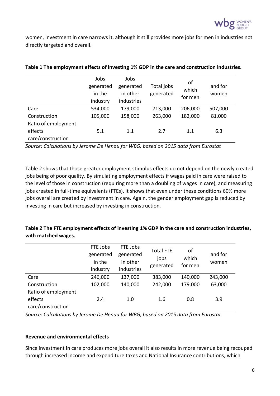

women, investment in care narrows it, although it still provides more jobs for men in industries not directly targeted and overall.

|                     | Jobs      | Jobs       |            | of      |         |
|---------------------|-----------|------------|------------|---------|---------|
|                     | generated | generated  | Total jobs | which   | and for |
|                     | in the    | in other   | generated  | for men | women   |
|                     | industry  | industries |            |         |         |
| Care                | 534,000   | 179,000    | 713,000    | 206,000 | 507,000 |
| Construction        | 105,000   | 158,000    | 263,000    | 182,000 | 81,000  |
| Ratio of employment |           |            |            |         |         |
| effects             | 5.1       | 1.1        | 2.7        | 1.1     | 6.3     |
| care/construction   |           |            |            |         |         |

#### **Table 1 The employment effects of investing 1% GDP in the care and construction industries.**

*Source: Calculations by Jerome De Henau for WBG, based on 2015 data from Eurostat*

Table 2 shows that those greater employment stimulus effects do not depend on the newly created jobs being of poor quality. By simulating employment effects if wages paid in care were raised to the level of those in construction (requiring more than a doubling of wages in care), and measuring jobs created in full-time equivalents (FTEs), it shows that even under these conditions 60% more jobs overall are created by investment in care. Again, the gender employment gap is reduced by investing in care but increased by investing in construction.

# **Table 2 The FTE employment effects of investing 1% GDP in the care and construction industries, with matched wages.**

|                     | FTE Jobs  | FTE Jobs   | <b>Total FTE</b> | οf<br>which<br>for men | and for<br>women |
|---------------------|-----------|------------|------------------|------------------------|------------------|
|                     | generated | generated  | jobs             |                        |                  |
|                     | in the    | in other   | generated        |                        |                  |
|                     | industry  | industries |                  |                        |                  |
| Care                | 246,000   | 137,000    | 383,000          | 140,000                | 243,000          |
| Construction        | 102,000   | 140,000    | 242,000          | 179,000                | 63,000           |
| Ratio of employment |           |            |                  |                        |                  |
| effects             | 2.4       | 1.0        | 1.6              | 0.8                    | 3.9              |
| care/construction   |           |            |                  |                        |                  |

*Source: Calculations by Jerome De Henau for WBG, based on 2015 data from Eurostat*

# **Revenue and environmental effects**

Since investment in care produces more jobs overall it also results in more revenue being recouped through increased income and expenditure taxes and National Insurance contributions, which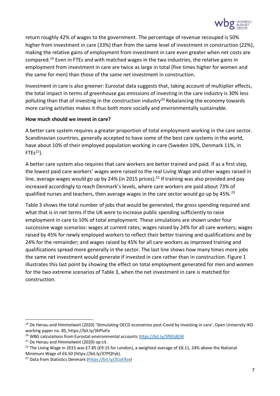

return roughly 42% of wages to the government. The percentage of revenue recouped is 50% higher from investment in care (33%) than from the same level of investment in construction (22%), making the relative gains of employment from investment in care even greater when net costs are compared.<sup>19</sup> Even in FTEs and with matched wages in the two industries, the relative gains in employment from investment in care are twice as large in total (five times higher for women and the same for men) than those of the same *net* investment in construction.

Investment in care is also greener: Eurostat data suggests that, taking account of multiplier effects, the total impact in terms of greenhouse gas emissions of investing in the care industry is 30% less polluting than that of investing in the construction industry<sup>20</sup> Rebalancing the economy towards more caring activities makes it thus both more socially and environmentally sustainable.

#### **How much should we invest in care?**

A better care system requires a greater proportion of total employment working in the care sector. Scandinavian countries, generally accepted to have some of the best care systems in the world, have about 10% of their employed population working in care (Sweden 10%, Denmark 11%, in  $FTEs<sup>21</sup>$ ).

A better care system also requires that care workers are better trained and paid. If as a first step, the lowest paid care workers' wages were raised to the real Living Wage and other wages raised in line, average wages would go up by 24% (in 2015 prices).<sup>22</sup> If training was also provided and pay increased accordingly to reach Denmark's levels, where care workers are paid about 73% of qualified nurses and teachers, then average wages in the care sector would go up by 45%.<sup>23</sup>

Table 3 shows the total number of jobs that would be generated, the gross spending required and what that is in net terms if the UK were to increase public spending sufficiently to raise employment in care to 10% of total employment. These simulations are shown under four successive wage scenarios: wages at current rates; wages raised by 24% for all care workers; wages raised by 45% for newly employed workers to reflect their better training and qualifications and by 24% for the remainder; and wages raised by 45% for all care workers as improved training and qualifications spread more generally in the sector. The last line shows how many times more jobs the same net investment would generate if invested in care rather than in construction. Figure 1 illustrates this last point by showing the effect on total employment generated for men and women for the two extreme scenarios of Table 3, when the net investment in care is matched for construction.

<sup>&</sup>lt;sup>19</sup> De Henau and Himmelweit (2020) 'Stimulating OECD economies post-Covid by investing in care', Open University IKD working paper no. 85, https://bit.ly/3hPloFe

<sup>&</sup>lt;sup>20</sup> WBG calculations from Eurostat environmental account[s https://bit.ly/3fN5dGW](https://bit.ly/3fN5dGW)

<sup>&</sup>lt;sup>21</sup> De Henau and Himmelweit (2020) op cit.

<sup>&</sup>lt;sup>22</sup> The Living Wage in 2015 was £7.85 (£9.15 for London), a weighted average of £8.11, 24% above the National Minimum Wage of £6.50 (https://bit.ly/37PQYyk).

<sup>23</sup> Data from Statistics Denmark [\(https://bit.ly/2CoE9ze\)](https://bit.ly/2CoE9ze)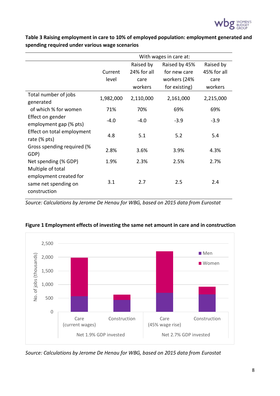

**Table 3 Raising employment in care to 10% of employed population: employment generated and spending required under various wage scenarios**

|                                                                                          | With wages in care at: |                                  |                                               |                                  |  |  |
|------------------------------------------------------------------------------------------|------------------------|----------------------------------|-----------------------------------------------|----------------------------------|--|--|
|                                                                                          | Current<br>level       | Raised by<br>24% for all<br>care | Raised by 45%<br>for new care<br>workers (24% | Raised by<br>45% for all<br>care |  |  |
|                                                                                          |                        | workers                          | for existing)                                 | workers                          |  |  |
| Total number of jobs<br>generated                                                        | 1,982,000              | 2,110,000                        | 2,161,000                                     | 2,215,000                        |  |  |
| of which % for women                                                                     | 71%                    | 70%                              | 69%                                           | 69%                              |  |  |
| Effect on gender<br>employment gap (% pts)<br>Effect on total employment<br>rate (% pts) | $-4.0$                 | $-4.0$                           | $-3.9$                                        | $-3.9$                           |  |  |
|                                                                                          | 4.8                    | 5.1                              | 5.2                                           | 5.4                              |  |  |
| Gross spending required (%<br>GDP)                                                       | 2.8%                   | 3.6%                             | 3.9%                                          | 4.3%                             |  |  |
| Net spending (% GDP)<br>Multiple of total                                                | 1.9%                   | 2.3%                             | 2.5%                                          | 2.7%                             |  |  |
| employment created for<br>same net spending on<br>construction                           | 3.1                    | 2.7                              | $2.5\,$                                       | 2.4                              |  |  |

*Source: Calculations by Jerome De Henau for WBG, based on 2015 data from Eurostat*



# **Figure 1 Employment effects of investing the same net amount in care and in construction**

*Source: Calculations by Jerome De Henau for WBG, based on 2015 data from Eurostat*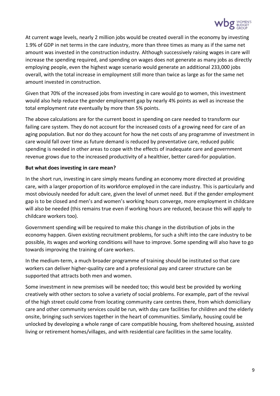

At current wage levels, nearly 2 million jobs would be created overall in the economy by investing 1.9% of GDP in net terms in the care industry, more than three times as many as if the same net amount was invested in the construction industry. Although successively raising wages in care will increase the spending required, and spending on wages does not generate as many jobs as directly employing people, even the highest wage scenario would generate an additional 233,000 jobs overall, with the total increase in employment still more than twice as large as for the same net amount invested in construction.

Given that 70% of the increased jobs from investing in care would go to women, this investment would also help reduce the gender employment gap by nearly 4% points as well as increase the total employment rate eventually by more than 5% points.

The above calculations are for the current boost in spending on care needed to transform our failing care system. They do not account for the increased costs of a growing need for care of an aging population. But nor do they account for how the net costs of any programme of investment in care would fall over time as future demand is reduced by preventative care, reduced public spending is needed in other areas to cope with the effects of inadequate care and government revenue grows due to the increased productivity of a healthier, better cared-for population.

#### **But what does investing in care mean?**

In the short run, investing in care simply means funding an economy more directed at providing care, with a larger proportion of its workforce employed in the care industry. This is particularly and most obviously needed for adult care, given the level of unmet need. But if the gender employment gap is to be closed and men's and women's working hours converge, more employment in childcare will also be needed (this remains true even if working hours are reduced, because this will apply to childcare workers too).

Government spending will be required to make this change in the distribution of jobs in the economy happen. Given existing recruitment problems, for such a shift into the care industry to be possible, its wages and working conditions will have to improve. Some spending will also have to go towards improving the training of care workers.

In the medium-term, a much broader programme of training should be instituted so that care workers can deliver higher-quality care and a professional pay and career structure can be supported that attracts both men and women.

Some investment in new premises will be needed too; this would best be provided by working creatively with other sectors to solve a variety of social problems. For example, part of the revival of the high street could come from locating community care centres there, from which domiciliary care and other community services could be run, with day care facilities for children and the elderly onsite, bringing such services together in the heart of communities. Similarly, housing could be unlocked by developing a whole range of care compatible housing, from sheltered housing, assisted living or retirement homes/villages, and with residential care facilities in the same locality.